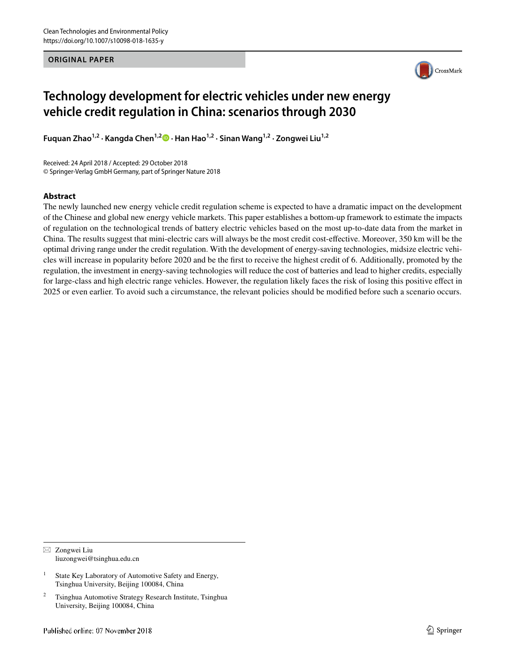### **ORIGINAL PAPER**



# **Technology development for electric vehicles under new energy vehicle credit regulation in China: scenarios through 2030**

**Fuquan Zhao1,2 · Kangda Chen1,2 · Han Hao1,2 · Sinan Wang1,2 · Zongwei Liu1,2**

Received: 24 April 2018 / Accepted: 29 October 2018 © Springer-Verlag GmbH Germany, part of Springer Nature 2018

### **Abstract**

The newly launched new energy vehicle credit regulation scheme is expected to have a dramatic impact on the development of the Chinese and global new energy vehicle markets. This paper establishes a bottom-up framework to estimate the impacts of regulation on the technological trends of battery electric vehicles based on the most up-to-date data from the market in China. The results suggest that mini-electric cars will always be the most credit cost-efective. Moreover, 350 km will be the optimal driving range under the credit regulation. With the development of energy-saving technologies, midsize electric vehicles will increase in popularity before 2020 and be the frst to receive the highest credit of 6. Additionally, promoted by the regulation, the investment in energy-saving technologies will reduce the cost of batteries and lead to higher credits, especially for large-class and high electric range vehicles. However, the regulation likely faces the risk of losing this positive efect in 2025 or even earlier. To avoid such a circumstance, the relevant policies should be modifed before such a scenario occurs.

 $\boxtimes$  Zongwei Liu liuzongwei@tsinghua.edu.cn

<sup>2</sup> Tsinghua Automotive Strategy Research Institute, Tsinghua University, Beijing 100084, China

<sup>&</sup>lt;sup>1</sup> State Key Laboratory of Automotive Safety and Energy, Tsinghua University, Beijing 100084, China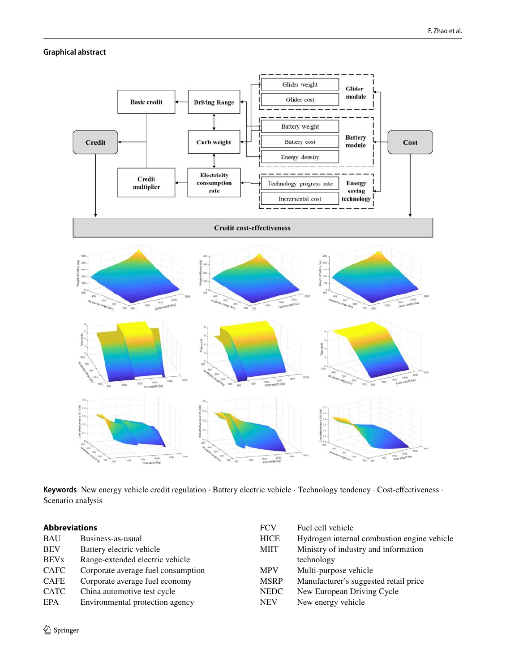# **Graphical abstract**



Keywords New energy vehicle credit regulation · Battery electric vehicle · Technology tendency · Cost-effectiveness · Scenario analysis

| <b>Abbreviations</b>    |                                    | <b>FCV</b>  | Fuel cell vehicle                           |
|-------------------------|------------------------------------|-------------|---------------------------------------------|
| <b>BAU</b>              | Business-as-usual                  | <b>HICE</b> | Hydrogen internal combustion engine vehicle |
| <b>BEV</b>              | Battery electric vehicle           | <b>MIIT</b> | Ministry of industry and information        |
| <b>BEV</b> <sub>x</sub> | Range-extended electric vehicle    |             | technology                                  |
| <b>CAFC</b>             | Corporate average fuel consumption | <b>MPV</b>  | Multi-purpose vehicle                       |
| <b>CAFE</b>             | Corporate average fuel economy     | <b>MSRP</b> | Manufacturer's suggested retail price       |
| <b>CATC</b>             | China automotive test cycle        | <b>NEDC</b> | New European Driving Cycle                  |
| <b>EPA</b>              | Environmental protection agency    | <b>NEV</b>  | New energy vehicle                          |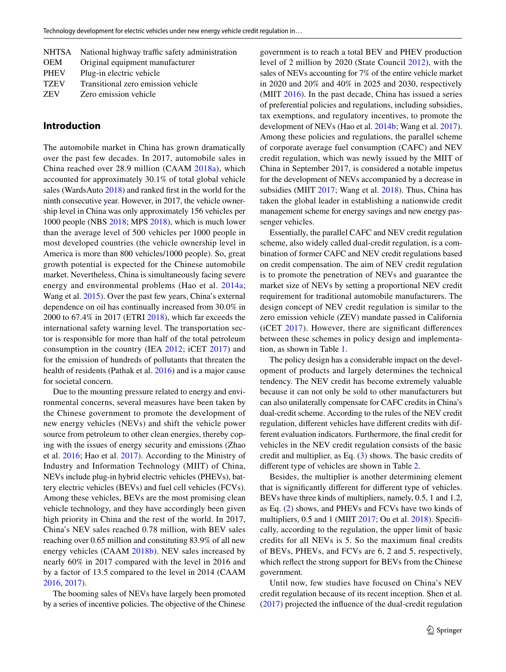|             | NHTSA National highway traffic safety administration |
|-------------|------------------------------------------------------|
| <b>OEM</b>  | Original equipment manufacturer                      |
| <b>PHEV</b> | Plug-in electric vehicle                             |
| <b>TZEV</b> | Transitional zero emission vehicle                   |
| <b>ZEV</b>  | Zero emission vehicle                                |

# **Introduction**

The automobile market in China has grown dramatically over the past few decades. In 2017, automobile sales in China reached over 28.9 million (CAAM [2018a](#page-13-0)), which accounted for approximately 30.1% of total global vehicle sales (WardsAuto [2018\)](#page-14-0) and ranked frst in the world for the ninth consecutive year. However, in 2017, the vehicle ownership level in China was only approximately 156 vehicles per 1000 people (NBS [2018;](#page-13-1) MPS [2018](#page-13-2)), which is much lower than the average level of 500 vehicles per 1000 people in most developed countries (the vehicle ownership level in America is more than 800 vehicles/1000 people). So, great growth potential is expected for the Chinese automobile market. Nevertheless, China is simultaneously facing severe energy and environmental problems (Hao et al. [2014a](#page-13-3); Wang et al. [2015](#page-14-1)). Over the past few years, China's external dependence on oil has continually increased from 30.0% in 2000 to 67.4% in 2017 (ETRI [2018\)](#page-13-4), which far exceeds the international safety warning level. The transportation sector is responsible for more than half of the total petroleum consumption in the country (IEA [2012](#page-13-5); iCET [2017\)](#page-13-6) and for the emission of hundreds of pollutants that threaten the health of residents (Pathak et al. [2016](#page-13-7)) and is a major cause for societal concern.

Due to the mounting pressure related to energy and environmental concerns, several measures have been taken by the Chinese government to promote the development of new energy vehicles (NEVs) and shift the vehicle power source from petroleum to other clean energies, thereby coping with the issues of energy security and emissions (Zhao et al. [2016](#page-14-2); Hao et al. [2017\)](#page-13-8). According to the Ministry of Industry and Information Technology (MIIT) of China, NEVs include plug-in hybrid electric vehicles (PHEVs), battery electric vehicles (BEVs) and fuel cell vehicles (FCVs). Among these vehicles, BEVs are the most promising clean vehicle technology, and they have accordingly been given high priority in China and the rest of the world. In 2017, China's NEV sales reached 0.78 million, with BEV sales reaching over 0.65 million and constituting 83.9% of all new energy vehicles (CAAM [2018b](#page-13-9)). NEV sales increased by nearly 60% in 2017 compared with the level in 2016 and by a factor of 13.5 compared to the level in 2014 (CAAM [2016](#page-13-10), [2017](#page-13-11)).

The booming sales of NEVs have largely been promoted by a series of incentive policies. The objective of the Chinese government is to reach a total BEV and PHEV production level of 2 million by 2020 (State Council [2012](#page-14-3)), with the sales of NEVs accounting for 7% of the entire vehicle market in 2020 and 20% and 40% in 2025 and 2030, respectively (MIIT [2016](#page-13-12)). In the past decade, China has issued a series of preferential policies and regulations, including subsidies, tax exemptions, and regulatory incentives, to promote the development of NEVs (Hao et al. [2014b](#page-13-13); Wang et al. [2017](#page-14-4)). Among these policies and regulations, the parallel scheme of corporate average fuel consumption (CAFC) and NEV credit regulation, which was newly issued by the MIIT of China in September 2017, is considered a notable impetus for the development of NEVs accompanied by a decrease in subsidies (MIIT [2017](#page-13-14); Wang et al. [2018](#page-14-5)). Thus, China has taken the global leader in establishing a nationwide credit management scheme for energy savings and new energy passenger vehicles.

Essentially, the parallel CAFC and NEV credit regulation scheme, also widely called dual-credit regulation, is a combination of former CAFC and NEV credit regulations based on credit compensation. The aim of NEV credit regulation is to promote the penetration of NEVs and guarantee the market size of NEVs by setting a proportional NEV credit requirement for traditional automobile manufacturers. The design concept of NEV credit regulation is similar to the zero emission vehicle (ZEV) mandate passed in California (iCET [2017\)](#page-13-6). However, there are signifcant diferences between these schemes in policy design and implementation, as shown in Table [1.](#page-3-0)

The policy design has a considerable impact on the development of products and largely determines the technical tendency. The NEV credit has become extremely valuable because it can not only be sold to other manufacturers but can also unilaterally compensate for CAFC credits in China's dual-credit scheme. According to the rules of the NEV credit regulation, diferent vehicles have diferent credits with different evaluation indicators. Furthermore, the fnal credit for vehicles in the NEV credit regulation consists of the basic credit and multiplier, as Eq. [\(3](#page-5-0)) shows. The basic credits of diferent type of vehicles are shown in Table [2.](#page-3-1)

Besides, the multiplier is another determining element that is signifcantly diferent for diferent type of vehicles. BEVs have three kinds of multipliers, namely, 0.5, 1 and 1.2, as Eq. [\(2](#page-5-1)) shows, and PHEVs and FCVs have two kinds of multipliers, 0.5 and 1 (MIIT [2017](#page-13-14); Ou et al. [2018](#page-13-15)). Specifically, according to the regulation, the upper limit of basic credits for all NEVs is 5. So the maximum fnal credits of BEVs, PHEVs, and FCVs are 6, 2 and 5, respectively, which refect the strong support for BEVs from the Chinese government.

Until now, few studies have focused on China's NEV credit regulation because of its recent inception. Shen et al. ([2017\)](#page-14-6) projected the infuence of the dual-credit regulation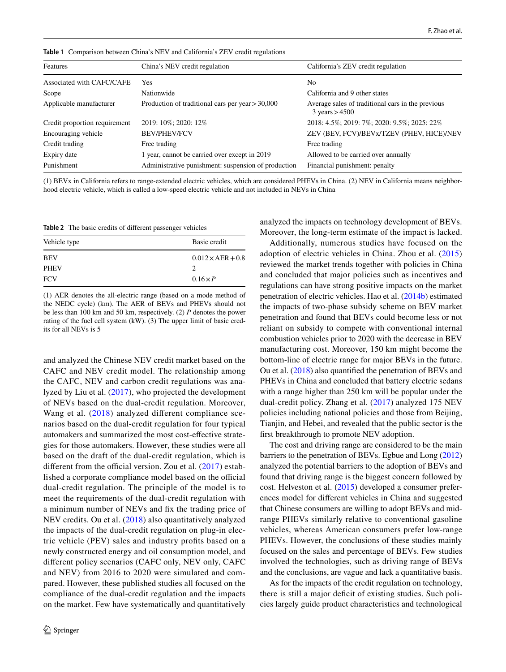<span id="page-3-0"></span>**Table 1** Comparison between China's NEV and California's ZEV credit regulations

| Features                      | China's NEV credit regulation                       | California's ZEV credit regulation                                            |
|-------------------------------|-----------------------------------------------------|-------------------------------------------------------------------------------|
| Associated with CAFC/CAFE     | <b>Yes</b>                                          | No                                                                            |
| Scope                         | Nationwide                                          | California and 9 other states                                                 |
| Applicable manufacturer       | Production of traditional cars per year $> 30,000$  | Average sales of traditional cars in the previous<br>$3 \text{ years} > 4500$ |
| Credit proportion requirement | 2019: 10%; 2020: 12%                                | 2018: 4.5%; 2019: 7%; 2020: 9.5%; 2025: 22%                                   |
| Encouraging vehicle           | <b>BEV/PHEV/FCV</b>                                 | ZEV (BEV, FCV)/BEVx/TZEV (PHEV, HICE)/NEV                                     |
| Credit trading                | Free trading                                        | Free trading                                                                  |
| Expiry date                   | 1 year, cannot be carried over except in 2019       | Allowed to be carried over annually                                           |
| Punishment                    | Administrative punishment: suspension of production | Financial punishment: penalty                                                 |

(1) BEVx in California refers to range-extended electric vehicles, which are considered PHEVs in China. (2) NEV in California means neighborhood electric vehicle, which is called a low-speed electric vehicle and not included in NEVs in China

<span id="page-3-1"></span>**Table 2** The basic credits of diferent passenger vehicles

| Vehicle type | Basic credit             |
|--------------|--------------------------|
| <b>BEV</b>   | $0.012 \times AER + 0.8$ |
| <b>PHEV</b>  | ∍                        |
| <b>FCV</b>   | $0.16 \times P$          |

(1) AER denotes the all-electric range (based on a mode method of the NEDC cycle) (km). The AER of BEVs and PHEVs should not be less than 100 km and 50 km, respectively. (2) *P* denotes the power rating of the fuel cell system (kW). (3) The upper limit of basic credits for all NEVs is 5

and analyzed the Chinese NEV credit market based on the CAFC and NEV credit model. The relationship among the CAFC, NEV and carbon credit regulations was analyzed by Liu et al. ([2017\)](#page-13-16), who projected the development of NEVs based on the dual-credit regulation. Moreover, Wang et al. ([2018\)](#page-14-5) analyzed diferent compliance scenarios based on the dual-credit regulation for four typical automakers and summarized the most cost-efective strategies for those automakers. However, these studies were all based on the draft of the dual-credit regulation, which is different from the official version. Zou et al.  $(2017)$  $(2017)$  established a corporate compliance model based on the official dual-credit regulation. The principle of the model is to meet the requirements of the dual-credit regulation with a minimum number of NEVs and fx the trading price of NEV credits. Ou et al. ([2018\)](#page-13-15) also quantitatively analyzed the impacts of the dual-credit regulation on plug-in electric vehicle (PEV) sales and industry profts based on a newly constructed energy and oil consumption model, and diferent policy scenarios (CAFC only, NEV only, CAFC and NEV) from 2016 to 2020 were simulated and compared. However, these published studies all focused on the compliance of the dual-credit regulation and the impacts on the market. Few have systematically and quantitatively

analyzed the impacts on technology development of BEVs. Moreover, the long-term estimate of the impact is lacked.

Additionally, numerous studies have focused on the adoption of electric vehicles in China. Zhou et al. [\(2015\)](#page-14-8) reviewed the market trends together with policies in China and concluded that major policies such as incentives and regulations can have strong positive impacts on the market penetration of electric vehicles. Hao et al. ([2014b\)](#page-13-13) estimated the impacts of two-phase subsidy scheme on BEV market penetration and found that BEVs could become less or not reliant on subsidy to compete with conventional internal combustion vehicles prior to 2020 with the decrease in BEV manufacturing cost. Moreover, 150 km might become the bottom-line of electric range for major BEVs in the future. Ou et al. [\(2018](#page-13-15)) also quantifed the penetration of BEVs and PHEVs in China and concluded that battery electric sedans with a range higher than 250 km will be popular under the dual-credit policy. Zhang et al. [\(2017\)](#page-14-9) analyzed 175 NEV policies including national policies and those from Beijing, Tianjin, and Hebei, and revealed that the public sector is the frst breakthrough to promote NEV adoption.

The cost and driving range are considered to be the main barriers to the penetration of BEVs. Egbue and Long ([2012\)](#page-13-17) analyzed the potential barriers to the adoption of BEVs and found that driving range is the biggest concern followed by cost. Helveston et al. [\(2015\)](#page-13-18) developed a consumer preferences model for diferent vehicles in China and suggested that Chinese consumers are willing to adopt BEVs and midrange PHEVs similarly relative to conventional gasoline vehicles, whereas American consumers prefer low-range PHEVs. However, the conclusions of these studies mainly focused on the sales and percentage of BEVs. Few studies involved the technologies, such as driving range of BEVs and the conclusions, are vague and lack a quantitative basis.

As for the impacts of the credit regulation on technology, there is still a major defcit of existing studies. Such policies largely guide product characteristics and technological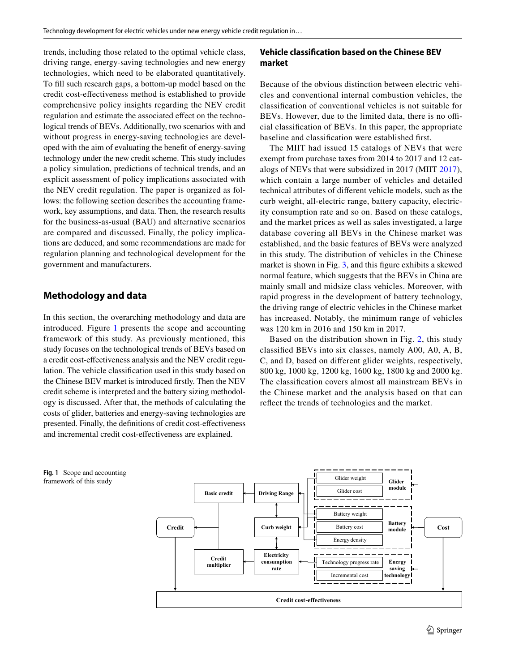trends, including those related to the optimal vehicle class, driving range, energy-saving technologies and new energy technologies, which need to be elaborated quantitatively. To fll such research gaps, a bottom-up model based on the credit cost-efectiveness method is established to provide comprehensive policy insights regarding the NEV credit regulation and estimate the associated effect on the technological trends of BEVs. Additionally, two scenarios with and without progress in energy-saving technologies are developed with the aim of evaluating the beneft of energy-saving technology under the new credit scheme. This study includes a policy simulation, predictions of technical trends, and an explicit assessment of policy implications associated with the NEV credit regulation. The paper is organized as follows: the following section describes the accounting framework, key assumptions, and data. Then, the research results for the business-as-usual (BAU) and alternative scenarios are compared and discussed. Finally, the policy implications are deduced, and some recommendations are made for regulation planning and technological development for the government and manufacturers.

# **Methodology and data**

In this section, the overarching methodology and data are introduced. Figure [1](#page-4-0) presents the scope and accounting framework of this study. As previously mentioned, this study focuses on the technological trends of BEVs based on a credit cost-efectiveness analysis and the NEV credit regulation. The vehicle classifcation used in this study based on the Chinese BEV market is introduced frstly. Then the NEV credit scheme is interpreted and the battery sizing methodology is discussed. After that, the methods of calculating the costs of glider, batteries and energy-saving technologies are presented. Finally, the defnitions of credit cost-efectiveness and incremental credit cost-efectiveness are explained.

# **Vehicle classifcation based on the Chinese BEV market**

Because of the obvious distinction between electric vehicles and conventional internal combustion vehicles, the classifcation of conventional vehicles is not suitable for BEVs. However, due to the limited data, there is no official classifcation of BEVs. In this paper, the appropriate baseline and classifcation were established frst.

The MIIT had issued 15 catalogs of NEVs that were exempt from purchase taxes from 2014 to 2017 and 12 catalogs of NEVs that were subsidized in 2017 (MIIT [2017](#page-13-14)), which contain a large number of vehicles and detailed technical attributes of diferent vehicle models, such as the curb weight, all-electric range, battery capacity, electricity consumption rate and so on. Based on these catalogs, and the market prices as well as sales investigated, a large database covering all BEVs in the Chinese market was established, and the basic features of BEVs were analyzed in this study. The distribution of vehicles in the Chinese market is shown in Fig. [3,](#page-5-2) and this figure exhibits a skewed normal feature, which suggests that the BEVs in China are mainly small and midsize class vehicles. Moreover, with rapid progress in the development of battery technology, the driving range of electric vehicles in the Chinese market has increased. Notably, the minimum range of vehicles was 120 km in 2016 and 150 km in 2017.

Based on the distribution shown in Fig. [2,](#page-5-3) this study classifed BEVs into six classes, namely A00, A0, A, B, C, and D, based on diferent glider weights, respectively, 800 kg, 1000 kg, 1200 kg, 1600 kg, 1800 kg and 2000 kg. The classifcation covers almost all mainstream BEVs in the Chinese market and the analysis based on that can refect the trends of technologies and the market.

<span id="page-4-0"></span>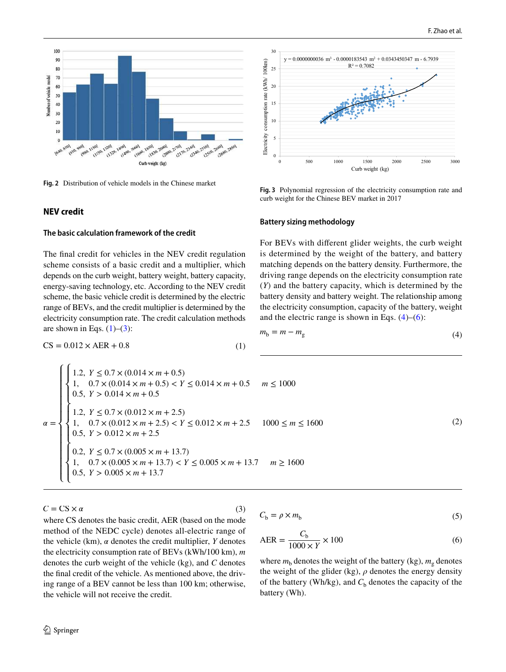

<span id="page-5-3"></span>**Fig. 2** Distribution of vehicle models in the Chinese market

#### **NEV credit**

#### **The basic calculation framework of the credit**

The fnal credit for vehicles in the NEV credit regulation scheme consists of a basic credit and a multiplier, which depends on the curb weight, battery weight, battery capacity, energy-saving technology, etc. According to the NEV credit scheme, the basic vehicle credit is determined by the electric range of BEVs, and the credit multiplier is determined by the electricity consumption rate. The credit calculation methods are shown in Eqs.  $(1)$  $(1)$ – $(3)$  $(3)$  $(3)$ :

$$
CS = 0.012 \times AER + 0.8 \tag{1}
$$

where CS denotes the basic credit, AER (based on the mode method of the NEDC cycle) denotes all-electric range of the vehicle (km),  $\alpha$  denotes the credit multiplier, *Y* denotes the electricity consumption rate of BEVs (kWh/100 km), *m* denotes the curb weight of the vehicle (kg), and *C* denotes the fnal credit of the vehicle. As mentioned above, the driving range of a BEV cannot be less than 100 km; otherwise,

y = 0.0000000036 m3 - 0.0000183543 m2 + 0.0343450347 m - 6.7939 R² = 0.7082 0 5 10 15 20 25 30 0 500 1000 1500 2000 2500 3000 Electricity consumption rate (kWh/ 100km) Curb weight (kg)

<span id="page-5-2"></span>**Fig. 3** Polynomial regression of the electricity consumption rate and curb weight for the Chinese BEV market in 2017

### **Battery sizing methodology**

For BEVs with diferent glider weights, the curb weight is determined by the weight of the battery, and battery matching depends on the battery density. Furthermore, the driving range depends on the electricity consumption rate (*Y*) and the battery capacity, which is determined by the battery density and battery weight. The relationship among the electricity consumption, capacity of the battery, weight and the electric range is shown in Eqs.  $(4)$ – $(6)$  $(6)$  $(6)$ :

<span id="page-5-5"></span><span id="page-5-4"></span><span id="page-5-1"></span>
$$
m_{\rm b} = m - m_{\rm g} \tag{4}
$$

$$
\alpha = \begin{cases}\n1.2, Y \le 0.7 \times (0.014 \times m + 0.5) \\
1, 0.7 \times (0.014 \times m + 0.5) < Y \le 0.014 \times m + 0.5 \\
0.5, Y > 0.014 \times m + 0.5 \\
1, 0.7 \times (0.012 \times m + 2.5) < Y \le 0.012 \times m + 2.5 \\
1, 0.7 \times (0.012 \times m + 2.5) < Y \le 0.012 \times m + 2.5 \\
0.5, Y > 0.012 \times m + 2.5 < \text{if } 0.00 \le m \le 1600 \\
0.6, Y > 0.012 \times m + 2.5 < \text{if } 0.005 \le m + 13.7 \\
1, 0.7 \times (0.005 \times m + 13.7) < Y \le 0.005 \times m + 13.7 & m \ge 1600 \\
0.5, Y > 0.005 \times m + 13.7 < \text{if } 0.005 \le m + 13.7\n\end{cases} \tag{2}
$$

 $C = CS \times \alpha$  (3)

<span id="page-5-0"></span>

 $C<sub>b</sub> = \rho \times m<sub>b</sub>$  (5)

$$
AER = \frac{C_b}{1000 \times Y} \times 100\tag{6}
$$

<span id="page-5-6"></span>where  $m_b$  denotes the weight of the battery (kg),  $m_g$  denotes the weight of the glider (kg),  $\rho$  denotes the energy density of the battery (Wh/kg), and  $C<sub>b</sub>$  denotes the capacity of the battery (Wh).

the vehicle will not receive the credit.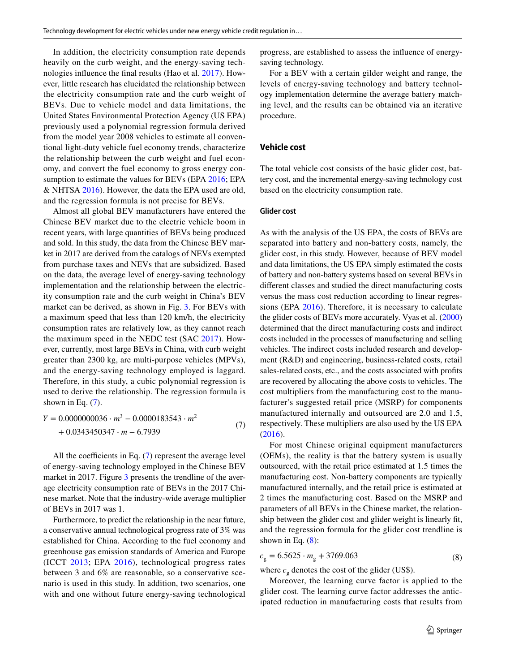In addition, the electricity consumption rate depends heavily on the curb weight, and the energy-saving technologies infuence the fnal results (Hao et al. [2017](#page-13-8)). However, little research has elucidated the relationship between the electricity consumption rate and the curb weight of BEVs. Due to vehicle model and data limitations, the United States Environmental Protection Agency (US EPA) previously used a polynomial regression formula derived from the model year 2008 vehicles to estimate all conventional light-duty vehicle fuel economy trends, characterize the relationship between the curb weight and fuel economy, and convert the fuel economy to gross energy consumption to estimate the values for BEVs (EPA [2016](#page-13-19); EPA & NHTSA [2016](#page-13-20)). However, the data the EPA used are old, and the regression formula is not precise for BEVs.

Almost all global BEV manufacturers have entered the Chinese BEV market due to the electric vehicle boom in recent years, with large quantities of BEVs being produced and sold. In this study, the data from the Chinese BEV market in 2017 are derived from the catalogs of NEVs exempted from purchase taxes and NEVs that are subsidized. Based on the data, the average level of energy-saving technology implementation and the relationship between the electricity consumption rate and the curb weight in China's BEV market can be derived, as shown in Fig. [3.](#page-5-2) For BEVs with a maximum speed that less than 120 km/h, the electricity consumption rates are relatively low, as they cannot reach the maximum speed in the NEDC test (SAC [2017](#page-14-10)). However, currently, most large BEVs in China, with curb weight greater than 2300 kg, are multi-purpose vehicles (MPVs), and the energy-saving technology employed is laggard. Therefore, in this study, a cubic polynomial regression is used to derive the relationship. The regression formula is shown in Eq.  $(7)$ .

$$
Y = 0.0000000036 \cdot m^3 - 0.0000183543 \cdot m^2 + 0.0343450347 \cdot m - 6.7939
$$
 (7)

All the coefficients in Eq.  $(7)$  $(7)$  represent the average level of energy-saving technology employed in the Chinese BEV market in 2017. Figure [3](#page-5-2) presents the trendline of the average electricity consumption rate of BEVs in the 2017 Chinese market. Note that the industry-wide average multiplier of BEVs in 2017 was 1.

Furthermore, to predict the relationship in the near future, a conservative annual technological progress rate of 3% was established for China. According to the fuel economy and greenhouse gas emission standards of America and Europe (ICCT [2013](#page-13-21); EPA [2016\)](#page-13-19), technological progress rates between 3 and 6% are reasonable, so a conservative scenario is used in this study. In addition, two scenarios, one with and one without future energy-saving technological progress, are established to assess the infuence of energysaving technology.

For a BEV with a certain gilder weight and range, the levels of energy-saving technology and battery technology implementation determine the average battery matching level, and the results can be obtained via an iterative procedure.

### **Vehicle cost**

The total vehicle cost consists of the basic glider cost, battery cost, and the incremental energy-saving technology cost based on the electricity consumption rate.

### **Glider cost**

As with the analysis of the US EPA, the costs of BEVs are separated into battery and non-battery costs, namely, the glider cost, in this study. However, because of BEV model and data limitations, the US EPA simply estimated the costs of battery and non-battery systems based on several BEVs in diferent classes and studied the direct manufacturing costs versus the mass cost reduction according to linear regressions (EPA [2016](#page-13-19)). Therefore, it is necessary to calculate the glider costs of BEVs more accurately. Vyas et al. ([2000\)](#page-14-11) determined that the direct manufacturing costs and indirect costs included in the processes of manufacturing and selling vehicles. The indirect costs included research and development (R&D) and engineering, business-related costs, retail sales-related costs, etc., and the costs associated with profts are recovered by allocating the above costs to vehicles. The cost multipliers from the manufacturing cost to the manufacturer's suggested retail price (MSRP) for components manufactured internally and outsourced are 2.0 and 1.5, respectively. These multipliers are also used by the US EPA ([2016\)](#page-13-19).

<span id="page-6-0"></span>For most Chinese original equipment manufacturers (OEMs), the reality is that the battery system is usually outsourced, with the retail price estimated at 1.5 times the manufacturing cost. Non-battery components are typically manufactured internally, and the retail price is estimated at 2 times the manufacturing cost. Based on the MSRP and parameters of all BEVs in the Chinese market, the relationship between the glider cost and glider weight is linearly ft, and the regression formula for the glider cost trendline is shown in Eq.  $(8)$  $(8)$ :

<span id="page-6-1"></span>
$$
c_g = 6.5625 \cdot m_g + 3769.063\tag{8}
$$

where  $c_{\varphi}$  denotes the cost of the glider (US\$).

Moreover, the learning curve factor is applied to the glider cost. The learning curve factor addresses the anticipated reduction in manufacturing costs that results from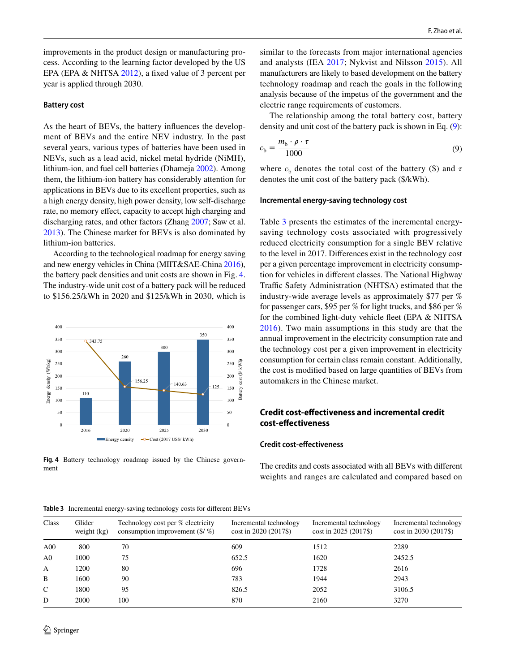improvements in the product design or manufacturing process. According to the learning factor developed by the US EPA (EPA & NHTSA [2012\)](#page-13-22), a fxed value of 3 percent per year is applied through 2030.

#### **Battery cost**

As the heart of BEVs, the battery infuences the development of BEVs and the entire NEV industry. In the past several years, various types of batteries have been used in NEVs, such as a lead acid, nickel metal hydride (NiMH), lithium-ion, and fuel cell batteries (Dhameja [2002](#page-13-23)). Among them, the lithium-ion battery has considerably attention for applications in BEVs due to its excellent properties, such as a high energy density, high power density, low self-discharge rate, no memory effect, capacity to accept high charging and discharging rates, and other factors (Zhang [2007](#page-14-12); Saw et al. [2013](#page-14-13)). The Chinese market for BEVs is also dominated by lithium-ion batteries.

According to the technological roadmap for energy saving and new energy vehicles in China (MIIT&SAE-China [2016](#page-13-12)), the battery pack densities and unit costs are shown in Fig. [4.](#page-7-0) The industry-wide unit cost of a battery pack will be reduced to \$156.25/kWh in 2020 and \$125/kWh in 2030, which is



<span id="page-7-0"></span>**Fig. 4** Battery technology roadmap issued by the Chinese government

similar to the forecasts from major international agencies and analysts (IEA [2017](#page-13-24); Nykvist and Nilsson [2015\)](#page-13-25). All manufacturers are likely to based development on the battery technology roadmap and reach the goals in the following analysis because of the impetus of the government and the electric range requirements of customers.

The relationship among the total battery cost, battery density and unit cost of the battery pack is shown in Eq. [\(9](#page-7-1)):

<span id="page-7-1"></span>
$$
c_{\rm b} = \frac{m_{\rm b} \cdot \rho \cdot \tau}{1000} \tag{9}
$$

where  $c<sub>b</sub>$  denotes the total cost of the battery (\$) and  $\tau$ denotes the unit cost of the battery pack (\$/kWh).

#### **Incremental energy‑saving technology cost**

Table [3](#page-7-2) presents the estimates of the incremental energysaving technology costs associated with progressively reduced electricity consumption for a single BEV relative to the level in 2017. Diferences exist in the technology cost per a given percentage improvement in electricity consumption for vehicles in diferent classes. The National Highway Traffic Safety Administration (NHTSA) estimated that the industry-wide average levels as approximately \$77 per % for passenger cars, \$95 per % for light trucks, and \$86 per % for the combined light-duty vehicle feet (EPA & NHTSA [2016](#page-13-20)). Two main assumptions in this study are that the annual improvement in the electricity consumption rate and the technology cost per a given improvement in electricity consumption for certain class remain constant. Additionally, the cost is modifed based on large quantities of BEVs from automakers in the Chinese market.

# **Credit cost‑efectiveness and incremental credit cost‑efectiveness**

#### **Credit cost‑efectiveness**

The credits and costs associated with all BEVs with diferent weights and ranges are calculated and compared based on

<span id="page-7-2"></span>

|  |  | <b>Table 3</b> Incremental energy-saving technology costs for different BEVs |  |  |  |  |
|--|--|------------------------------------------------------------------------------|--|--|--|--|
|--|--|------------------------------------------------------------------------------|--|--|--|--|

| Class          | Glider<br>weight $(kg)$ | Technology cost per % electricity<br>consumption improvement $(\frac{6}{\sqrt{2}})$ | Incremental technology<br>cost in 2020 (2017\$) | Incremental technology<br>cost in 2025 (2017\$) | Incremental technology<br>cost in 2030 (2017\$) |
|----------------|-------------------------|-------------------------------------------------------------------------------------|-------------------------------------------------|-------------------------------------------------|-------------------------------------------------|
| A00            | 800                     | 70                                                                                  | 609                                             | 1512                                            | 2289                                            |
| A <sub>0</sub> | 1000                    | 75                                                                                  | 652.5                                           | 1620                                            | 2452.5                                          |
| A              | 1200                    | 80                                                                                  | 696                                             | 1728                                            | 2616                                            |
| B              | 1600                    | 90                                                                                  | 783                                             | 1944                                            | 2943                                            |
| $\mathcal{C}$  | 1800                    | 95                                                                                  | 826.5                                           | 2052                                            | 3106.5                                          |
| D              | 2000                    | 100                                                                                 | 870                                             | 2160                                            | 3270                                            |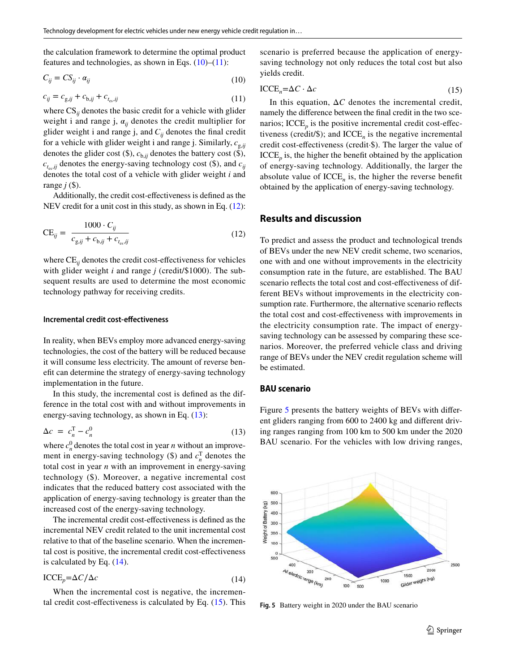the calculation framework to determine the optimal product features and technologies, as shown in Eqs.  $(10)$  $(10)$ – $(11)$  $(11)$ :

$$
C_{ij} = CS_{ij} \cdot \alpha_{ij} \tag{10}
$$

$$
c_{ij} = c_{g,ij} + c_{b,ij} + c_{t_{es},ij}
$$
\n(11)

where  $CS_{ii}$  denotes the basic credit for a vehicle with glider weight i and range j,  $\alpha_{ij}$  denotes the credit multiplier for glider weight i and range j, and  $C_{ij}$  denotes the final credit for a vehicle with glider weight i and range j. Similarly,  $c_{g,ij}$ denotes the glider cost  $(\$)$ ,  $c_{b,ij}$  denotes the battery cost  $(\$)$ ,  $c_{t}$ *ij* denotes the energy-saving technology cost (\$), and  $c_{ij}$ denotes the total cost of a vehicle with glider weight *i* and range *j* (\$).

Additionally, the credit cost-efectiveness is defned as the NEV credit for a unit cost in this study, as shown in Eq.  $(12)$  $(12)$ :

$$
CE_{ij} = \frac{1000 \cdot C_{ij}}{c_{g,ij} + c_{b,ij} + c_{t_{es},ij}}
$$
(12)

where  $CE_{ii}$  denotes the credit cost-effectiveness for vehicles with glider weight *i* and range *j* (credit/\$1000). The subsequent results are used to determine the most economic technology pathway for receiving credits.

#### **Incremental credit cost‑efectiveness**

In reality, when BEVs employ more advanced energy-saving technologies, the cost of the battery will be reduced because it will consume less electricity. The amount of reverse beneft can determine the strategy of energy-saving technology implementation in the future.

In this study, the incremental cost is defned as the difference in the total cost with and without improvements in energy-saving technology, as shown in Eq. ([13\)](#page-8-3):

$$
\Delta c = c_n^{\mathrm{T}} - c_n^0 \tag{13}
$$

where  $c_n^0$  denotes the total cost in year *n* without an improvement in energy-saving technology (\$) and  $c_n^T$  denotes the total cost in year *n* with an improvement in energy-saving technology (\$). Moreover, a negative incremental cost indicates that the reduced battery cost associated with the application of energy-saving technology is greater than the increased cost of the energy-saving technology.

The incremental credit cost-efectiveness is defned as the incremental NEV credit related to the unit incremental cost relative to that of the baseline scenario. When the incremental cost is positive, the incremental credit cost-efectiveness is calculated by Eq. ([14\)](#page-8-4).

$$
\text{ICCE}_p = \Delta C / \Delta c \tag{14}
$$

When the incremental cost is negative, the incremental credit cost-effectiveness is calculated by Eq.  $(15)$  $(15)$ . This scenario is preferred because the application of energysaving technology not only reduces the total cost but also yields credit.

<span id="page-8-5"></span><span id="page-8-0"></span>
$$
\text{ICE}_{n} = \Delta C \cdot \Delta c \tag{15}
$$

<span id="page-8-1"></span>In this equation,  $\Delta C$  denotes the incremental credit, namely the diference between the fnal credit in the two scenarios; ICCE<sub>p</sub> is the positive incremental credit cost-effectiveness (credit/ $\$ ); and ICCE<sub>n</sub> is the negative incremental credit cost-efectiveness (credit·\$). The larger the value of ICCE<sub>p</sub> is, the higher the benefit obtained by the application of energy-saving technology. Additionally, the larger the absolute value of  $\text{ICCE}_n$  is, the higher the reverse benefit obtained by the application of energy-saving technology.

## **Results and discussion**

<span id="page-8-2"></span>To predict and assess the product and technological trends of BEVs under the new NEV credit scheme, two scenarios, one with and one without improvements in the electricity consumption rate in the future, are established. The BAU scenario refects the total cost and cost-efectiveness of different BEVs without improvements in the electricity consumption rate. Furthermore, the alternative scenario refects the total cost and cost-efectiveness with improvements in the electricity consumption rate. The impact of energysaving technology can be assessed by comparing these scenarios. Moreover, the preferred vehicle class and driving range of BEVs under the NEV credit regulation scheme will be estimated.

### **BAU scenario**

<span id="page-8-3"></span>Figure [5](#page-8-6) presents the battery weights of BEVs with diferent gliders ranging from 600 to 2400 kg and diferent driving ranges ranging from 100 km to 500 km under the 2020 BAU scenario. For the vehicles with low driving ranges,



<span id="page-8-6"></span><span id="page-8-4"></span>**Fig. 5** Battery weight in 2020 under the BAU scenario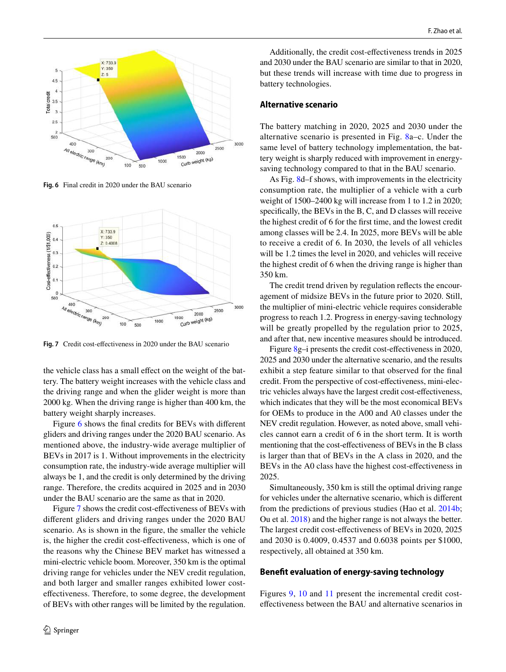

<span id="page-9-0"></span>**Fig. 6** Final credit in 2020 under the BAU scenario

![](_page_9_Figure_2.jpeg)

<span id="page-9-1"></span>**Fig. 7** Credit cost-efectiveness in 2020 under the BAU scenario

the vehicle class has a small efect on the weight of the battery. The battery weight increases with the vehicle class and the driving range and when the glider weight is more than 2000 kg. When the driving range is higher than 400 km, the battery weight sharply increases.

Figure [6](#page-9-0) shows the fnal credits for BEVs with diferent gliders and driving ranges under the 2020 BAU scenario. As mentioned above, the industry-wide average multiplier of BEVs in 2017 is 1. Without improvements in the electricity consumption rate, the industry-wide average multiplier will always be 1, and the credit is only determined by the driving range. Therefore, the credits acquired in 2025 and in 2030 under the BAU scenario are the same as that in 2020.

Figure [7](#page-9-1) shows the credit cost-efectiveness of BEVs with diferent gliders and driving ranges under the 2020 BAU scenario. As is shown in the fgure, the smaller the vehicle is, the higher the credit cost-efectiveness, which is one of the reasons why the Chinese BEV market has witnessed a mini-electric vehicle boom. Moreover, 350 km is the optimal driving range for vehicles under the NEV credit regulation, and both larger and smaller ranges exhibited lower costefectiveness. Therefore, to some degree, the development of BEVs with other ranges will be limited by the regulation.

Additionally, the credit cost-efectiveness trends in 2025 and 2030 under the BAU scenario are similar to that in 2020, but these trends will increase with time due to progress in battery technologies.

#### **Alternative scenario**

The battery matching in 2020, 2025 and 2030 under the alternative scenario is presented in Fig. [8](#page-10-0)a–c. Under the same level of battery technology implementation, the battery weight is sharply reduced with improvement in energysaving technology compared to that in the BAU scenario.

As Fig. [8](#page-10-0)d–f shows, with improvements in the electricity consumption rate, the multiplier of a vehicle with a curb weight of 1500–2400 kg will increase from 1 to 1.2 in 2020; specifcally, the BEVs in the B, C, and D classes will receive the highest credit of 6 for the frst time, and the lowest credit among classes will be 2.4. In 2025, more BEVs will be able to receive a credit of 6. In 2030, the levels of all vehicles will be 1.2 times the level in 2020, and vehicles will receive the highest credit of 6 when the driving range is higher than 350 km.

The credit trend driven by regulation refects the encouragement of midsize BEVs in the future prior to 2020. Still, the multiplier of mini-electric vehicle requires considerable progress to reach 1.2. Progress in energy-saving technology will be greatly propelled by the regulation prior to 2025, and after that, new incentive measures should be introduced.

Figure [8g](#page-10-0)–i presents the credit cost-effectiveness in 2020. 2025 and 2030 under the alternative scenario, and the results exhibit a step feature similar to that observed for the fnal credit. From the perspective of cost-efectiveness, mini-electric vehicles always have the largest credit cost-efectiveness, which indicates that they will be the most economical BEVs for OEMs to produce in the A00 and A0 classes under the NEV credit regulation. However, as noted above, small vehicles cannot earn a credit of 6 in the short term. It is worth mentioning that the cost-efectiveness of BEVs in the B class is larger than that of BEVs in the A class in 2020, and the BEVs in the A0 class have the highest cost-efectiveness in 2025.

Simultaneously, 350 km is still the optimal driving range for vehicles under the alternative scenario, which is diferent from the predictions of previous studies (Hao et al. [2014b](#page-13-13); Ou et al. [2018](#page-13-15)) and the higher range is not always the better. The largest credit cost-efectiveness of BEVs in 2020, 2025 and 2030 is 0.4009, 0.4537 and 0.6038 points per \$1000, respectively, all obtained at 350 km.

#### **Beneft evaluation of energy‑saving technology**

Figures [9](#page-11-0), [10](#page-11-1) and [11](#page-11-2) present the incremental credit costefectiveness between the BAU and alternative scenarios in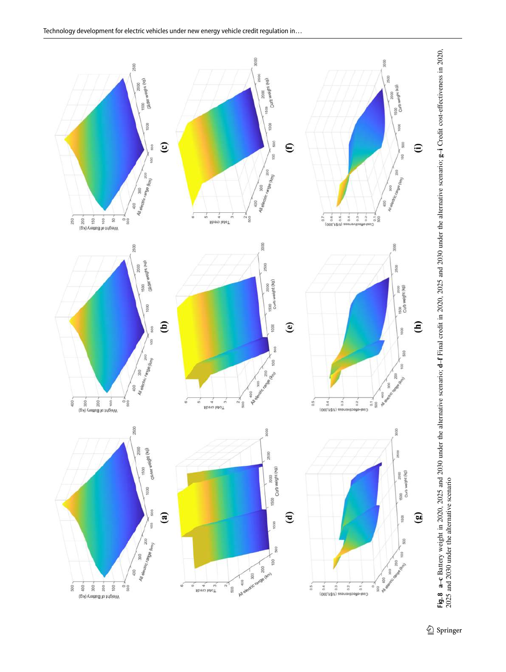<span id="page-10-0"></span>![](_page_10_Figure_1.jpeg)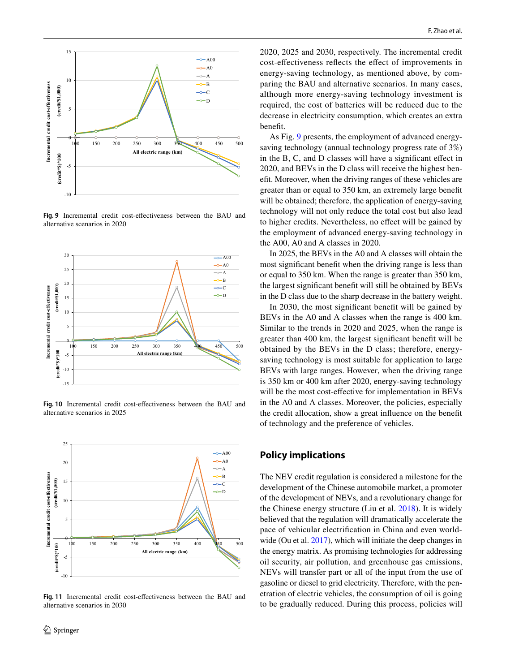![](_page_11_Figure_0.jpeg)

<span id="page-11-0"></span>**Fig. 9** Incremental credit cost-efectiveness between the BAU and alternative scenarios in 2020

![](_page_11_Figure_2.jpeg)

<span id="page-11-1"></span>**Fig. 10** Incremental credit cost-efectiveness between the BAU and alternative scenarios in 2025

![](_page_11_Figure_4.jpeg)

<span id="page-11-2"></span>**Fig. 11** Incremental credit cost-efectiveness between the BAU and alternative scenarios in 2030

2020, 2025 and 2030, respectively. The incremental credit cost-efectiveness refects the efect of improvements in energy-saving technology, as mentioned above, by comparing the BAU and alternative scenarios. In many cases, although more energy-saving technology investment is required, the cost of batteries will be reduced due to the decrease in electricity consumption, which creates an extra beneft.

As Fig. [9](#page-11-0) presents, the employment of advanced energysaving technology (annual technology progress rate of 3%) in the B, C, and D classes will have a signifcant efect in 2020, and BEVs in the D class will receive the highest beneft. Moreover, when the driving ranges of these vehicles are greater than or equal to 350 km, an extremely large beneft will be obtained; therefore, the application of energy-saving technology will not only reduce the total cost but also lead to higher credits. Nevertheless, no efect will be gained by the employment of advanced energy-saving technology in the A00, A0 and A classes in 2020.

In 2025, the BEVs in the A0 and A classes will obtain the most signifcant beneft when the driving range is less than or equal to 350 km. When the range is greater than 350 km, the largest signifcant beneft will still be obtained by BEVs in the D class due to the sharp decrease in the battery weight.

In 2030, the most signifcant beneft will be gained by BEVs in the A0 and A classes when the range is 400 km. Similar to the trends in 2020 and 2025, when the range is greater than 400 km, the largest signifcant beneft will be obtained by the BEVs in the D class; therefore, energysaving technology is most suitable for application to large BEVs with large ranges. However, when the driving range is 350 km or 400 km after 2020, energy-saving technology will be the most cost-effective for implementation in BEVs in the A0 and A classes. Moreover, the policies, especially the credit allocation, show a great infuence on the beneft of technology and the preference of vehicles.

### **Policy implications**

The NEV credit regulation is considered a milestone for the development of the Chinese automobile market, a promoter of the development of NEVs, and a revolutionary change for the Chinese energy structure (Liu et al. [2018](#page-13-26)). It is widely believed that the regulation will dramatically accelerate the pace of vehicular electrifcation in China and even world-wide (Ou et al. [2017\)](#page-13-27), which will initiate the deep changes in the energy matrix. As promising technologies for addressing oil security, air pollution, and greenhouse gas emissions, NEVs will transfer part or all of the input from the use of gasoline or diesel to grid electricity. Therefore, with the penetration of electric vehicles, the consumption of oil is going to be gradually reduced. During this process, policies will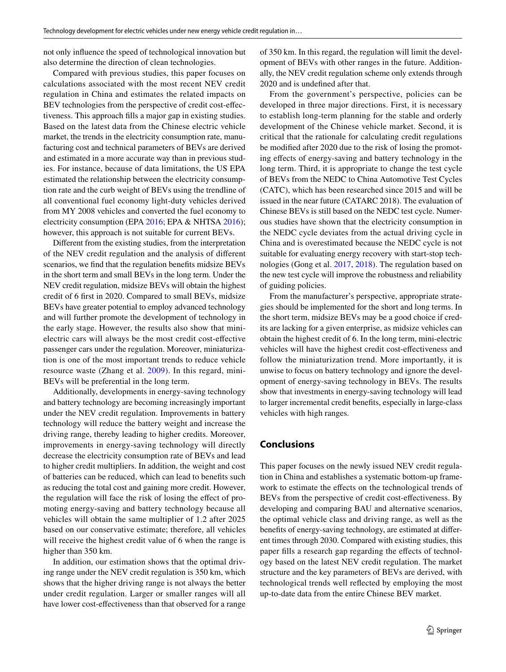not only infuence the speed of technological innovation but also determine the direction of clean technologies.

Compared with previous studies, this paper focuses on calculations associated with the most recent NEV credit regulation in China and estimates the related impacts on BEV technologies from the perspective of credit cost-efectiveness. This approach flls a major gap in existing studies. Based on the latest data from the Chinese electric vehicle market, the trends in the electricity consumption rate, manufacturing cost and technical parameters of BEVs are derived and estimated in a more accurate way than in previous studies. For instance, because of data limitations, the US EPA estimated the relationship between the electricity consumption rate and the curb weight of BEVs using the trendline of all conventional fuel economy light-duty vehicles derived from MY 2008 vehicles and converted the fuel economy to electricity consumption (EPA [2016;](#page-13-19) EPA & NHTSA [2016](#page-13-20)); however, this approach is not suitable for current BEVs.

Diferent from the existing studies, from the interpretation of the NEV credit regulation and the analysis of diferent scenarios, we fnd that the regulation benefts midsize BEVs in the short term and small BEVs in the long term. Under the NEV credit regulation, midsize BEVs will obtain the highest credit of 6 frst in 2020. Compared to small BEVs, midsize BEVs have greater potential to employ advanced technology and will further promote the development of technology in the early stage. However, the results also show that minielectric cars will always be the most credit cost-efective passenger cars under the regulation. Moreover, miniaturization is one of the most important trends to reduce vehicle resource waste (Zhang et al. [2009](#page-14-14)). In this regard, mini-BEVs will be preferential in the long term.

Additionally, developments in energy-saving technology and battery technology are becoming increasingly important under the NEV credit regulation. Improvements in battery technology will reduce the battery weight and increase the driving range, thereby leading to higher credits. Moreover, improvements in energy-saving technology will directly decrease the electricity consumption rate of BEVs and lead to higher credit multipliers. In addition, the weight and cost of batteries can be reduced, which can lead to benefts such as reducing the total cost and gaining more credit. However, the regulation will face the risk of losing the efect of promoting energy-saving and battery technology because all vehicles will obtain the same multiplier of 1.2 after 2025 based on our conservative estimate; therefore, all vehicles will receive the highest credit value of 6 when the range is higher than 350 km.

In addition, our estimation shows that the optimal driving range under the NEV credit regulation is 350 km, which shows that the higher driving range is not always the better under credit regulation. Larger or smaller ranges will all have lower cost-effectiveness than that observed for a range

of 350 km. In this regard, the regulation will limit the development of BEVs with other ranges in the future. Additionally, the NEV credit regulation scheme only extends through 2020 and is undefned after that.

From the government's perspective, policies can be developed in three major directions. First, it is necessary to establish long-term planning for the stable and orderly development of the Chinese vehicle market. Second, it is critical that the rationale for calculating credit regulations be modifed after 2020 due to the risk of losing the promoting efects of energy-saving and battery technology in the long term. Third, it is appropriate to change the test cycle of BEVs from the NEDC to China Automotive Test Cycles (CATC), which has been researched since 2015 and will be issued in the near future (CATARC 2018). The evaluation of Chinese BEVs is still based on the NEDC test cycle. Numerous studies have shown that the electricity consumption in the NEDC cycle deviates from the actual driving cycle in China and is overestimated because the NEDC cycle is not suitable for evaluating energy recovery with start-stop technologies (Gong et al. [2017](#page-13-28), [2018\)](#page-13-29). The regulation based on the new test cycle will improve the robustness and reliability of guiding policies.

From the manufacturer's perspective, appropriate strategies should be implemented for the short and long terms. In the short term, midsize BEVs may be a good choice if credits are lacking for a given enterprise, as midsize vehicles can obtain the highest credit of 6. In the long term, mini-electric vehicles will have the highest credit cost-efectiveness and follow the miniaturization trend. More importantly, it is unwise to focus on battery technology and ignore the development of energy-saving technology in BEVs. The results show that investments in energy-saving technology will lead to larger incremental credit benefts, especially in large-class vehicles with high ranges.

# **Conclusions**

This paper focuses on the newly issued NEV credit regulation in China and establishes a systematic bottom-up framework to estimate the effects on the technological trends of BEVs from the perspective of credit cost-effectiveness. By developing and comparing BAU and alternative scenarios, the optimal vehicle class and driving range, as well as the benefts of energy-saving technology, are estimated at diferent times through 2030. Compared with existing studies, this paper fills a research gap regarding the effects of technology based on the latest NEV credit regulation. The market structure and the key parameters of BEVs are derived, with technological trends well refected by employing the most up-to-date data from the entire Chinese BEV market.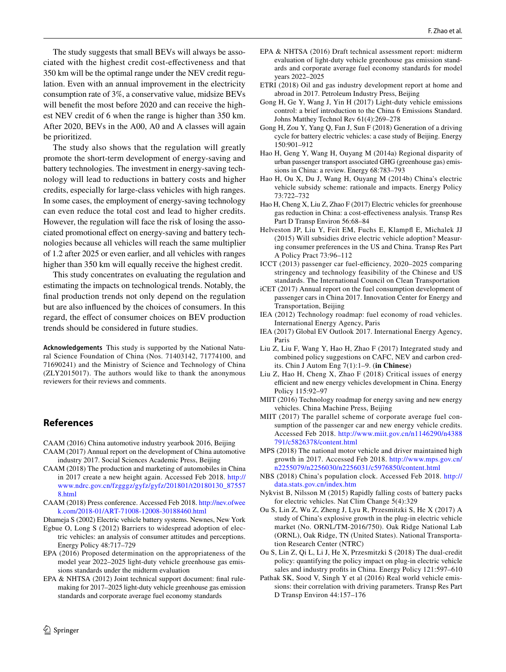The study suggests that small BEVs will always be associated with the highest credit cost-efectiveness and that 350 km will be the optimal range under the NEV credit regulation. Even with an annual improvement in the electricity consumption rate of 3%, a conservative value, midsize BEVs will benefit the most before 2020 and can receive the highest NEV credit of 6 when the range is higher than 350 km. After 2020, BEVs in the A00, A0 and A classes will again be prioritized.

The study also shows that the regulation will greatly promote the short-term development of energy-saving and battery technologies. The investment in energy-saving technology will lead to reductions in battery costs and higher credits, especially for large-class vehicles with high ranges. In some cases, the employment of energy-saving technology can even reduce the total cost and lead to higher credits. However, the regulation will face the risk of losing the associated promotional effect on energy-saving and battery technologies because all vehicles will reach the same multiplier of 1.2 after 2025 or even earlier, and all vehicles with ranges higher than 350 km will equally receive the highest credit.

This study concentrates on evaluating the regulation and estimating the impacts on technological trends. Notably, the fnal production trends not only depend on the regulation but are also infuenced by the choices of consumers. In this regard, the efect of consumer choices on BEV production trends should be considered in future studies.

**Acknowledgements** This study is supported by the National Natural Science Foundation of China (Nos. 71403142, 71774100, and 71690241) and the Ministry of Science and Technology of China (ZLY2015017). The authors would like to thank the anonymous reviewers for their reviews and comments.

### **References**

<span id="page-13-10"></span>CAAM (2016) China automotive industry yearbook 2016, Beijing

- <span id="page-13-11"></span>CAAM (2017) Annual report on the development of China automotive industry 2017. Social Sciences Academic Press, Beijing
- <span id="page-13-0"></span>CAAM (2018) The production and marketing of automobiles in China in 2017 create a new height again. Accessed Feb 2018. [http://](http://www.ndrc.gov.cn/fzgggz/gyfz/gyfz/201801/t20180130_875578.html) [www.ndrc.gov.cn/fzgggz/gyfz/gyfz/201801/t20180130\\_87557](http://www.ndrc.gov.cn/fzgggz/gyfz/gyfz/201801/t20180130_875578.html) [8.html](http://www.ndrc.gov.cn/fzgggz/gyfz/gyfz/201801/t20180130_875578.html)
- <span id="page-13-9"></span>CAAM (2018) Press conference. Accessed Feb 2018. [http://nev.ofwee](http://nev.ofweek.com/2018-01/ART-71008-12008-30188460.html) [k.com/2018-01/ART-71008-12008-30188460.html](http://nev.ofweek.com/2018-01/ART-71008-12008-30188460.html)
- <span id="page-13-23"></span>Dhameja S (2002) Electric vehicle battery systems. Newnes, New York
- <span id="page-13-17"></span>Egbue O, Long S (2012) Barriers to widespread adoption of electric vehicles: an analysis of consumer attitudes and perceptions. Energy Policy 48:717–729
- <span id="page-13-19"></span>EPA (2016) Proposed determination on the appropriateness of the model year 2022–2025 light-duty vehicle greenhouse gas emissions standards under the midterm evaluation
- <span id="page-13-22"></span>EPA & NHTSA (2012) Joint technical support document: fnal rulemaking for 2017–2025 light-duty vehicle greenhouse gas emission standards and corporate average fuel economy standards
- <span id="page-13-20"></span>EPA & NHTSA (2016) Draft technical assessment report: midterm evaluation of light-duty vehicle greenhouse gas emission standards and corporate average fuel economy standards for model years 2022–2025
- <span id="page-13-4"></span>ETRI (2018) Oil and gas industry development report at home and abroad in 2017. Petroleum Industry Press, Beijing
- <span id="page-13-28"></span>Gong H, Ge Y, Wang J, Yin H (2017) Light-duty vehicle emissions control: a brief introduction to the China 6 Emissions Standard. Johns Matthey Technol Rev 61(4):269–278
- <span id="page-13-29"></span>Gong H, Zou Y, Yang Q, Fan J, Sun F (2018) Generation of a driving cycle for battery electric vehicles: a case study of Beijing. Energy 150:901–912
- <span id="page-13-3"></span>Hao H, Geng Y, Wang H, Ouyang M (2014a) Regional disparity of urban passenger transport associated GHG (greenhouse gas) emissions in China: a review. Energy 68:783–793
- <span id="page-13-13"></span>Hao H, Ou X, Du J, Wang H, Ouyang M (2014b) China's electric vehicle subsidy scheme: rationale and impacts. Energy Policy 73:722–732
- <span id="page-13-8"></span>Hao H, Cheng X, Liu Z, Zhao F (2017) Electric vehicles for greenhouse gas reduction in China: a cost-efectiveness analysis. Transp Res Part D Transp Environ 56:68–84
- <span id="page-13-18"></span>Helveston JP, Liu Y, Feit EM, Fuchs E, Klampf E, Michalek JJ (2015) Will subsidies drive electric vehicle adoption? Measuring consumer preferences in the US and China. Transp Res Part A Policy Pract 73:96–112
- <span id="page-13-21"></span>ICCT (2013) passenger car fuel-efficiency, 2020-2025 comparing stringency and technology feasibility of the Chinese and US standards. The International Council on Clean Transportation
- <span id="page-13-6"></span>iCET (2017) Annual report on the fuel consumption development of passenger cars in China 2017. Innovation Center for Energy and Transportation, Beijing
- <span id="page-13-5"></span>IEA (2012) Technology roadmap: fuel economy of road vehicles. International Energy Agency, Paris
- <span id="page-13-24"></span>IEA (2017) Global EV Outlook 2017. International Energy Agency, Paris
- <span id="page-13-16"></span>Liu Z, Liu F, Wang Y, Hao H, Zhao F (2017) Integrated study and combined policy suggestions on CAFC, NEV and carbon credits. Chin J Autom Eng 7(1):1–9. (**in Chinese**)
- <span id="page-13-26"></span>Liu Z, Hao H, Cheng X, Zhao F (2018) Critical issues of energy efficient and new energy vehicles development in China. Energy Policy 115:92–97
- <span id="page-13-12"></span>MIIT (2016) Technology roadmap for energy saving and new energy vehicles. China Machine Press, Beijing
- <span id="page-13-14"></span>MIIT (2017) The parallel scheme of corporate average fuel consumption of the passenger car and new energy vehicle credits. Accessed Feb 2018. [http://www.miit.gov.cn/n1146290/n4388](http://www.miit.gov.cn/n1146290/n4388791/c5826378/content.html) [791/c5826378/content.html](http://www.miit.gov.cn/n1146290/n4388791/c5826378/content.html)
- <span id="page-13-2"></span>MPS (2018) The national motor vehicle and driver maintained high growth in 2017. Accessed Feb 2018. [http://www.mps.gov.cn/](http://www.mps.gov.cn/n2255079/n2256030/n2256031/c5976850/content.html) [n2255079/n2256030/n2256031/c5976850/content.html](http://www.mps.gov.cn/n2255079/n2256030/n2256031/c5976850/content.html)
- <span id="page-13-1"></span>NBS (2018) China's population clock. Accessed Feb 2018. [http://](http://data.stats.gov.cn/index.htm) [data.stats.gov.cn/index.htm](http://data.stats.gov.cn/index.htm)
- <span id="page-13-25"></span>Nykvist B, Nilsson M (2015) Rapidly falling costs of battery packs for electric vehicles. Nat Clim Change 5(4):329
- <span id="page-13-27"></span>Ou S, Lin Z, Wu Z, Zheng J, Lyu R, Przesmitzki S, He X (2017) A study of China's explosive growth in the plug-in electric vehicle market (No. ORNL/TM-2016/750). Oak Ridge National Lab (ORNL), Oak Ridge, TN (United States). National Transportation Research Center (NTRC)
- <span id="page-13-15"></span>Ou S, Lin Z, Qi L, Li J, He X, Przesmitzki S (2018) The dual-credit policy: quantifying the policy impact on plug-in electric vehicle sales and industry profts in China. Energy Policy 121:597–610
- <span id="page-13-7"></span>Pathak SK, Sood V, Singh Y et al (2016) Real world vehicle emissions: their correlation with driving parameters. Transp Res Part D Transp Environ 44:157–176